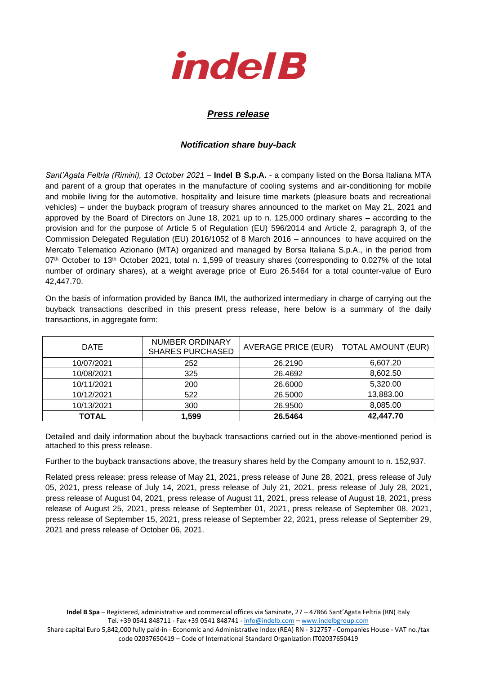

## *Press release*

## *Notification share buy-back*

*Sant'Agata Feltria (Rimini), 13 October 2021* – **Indel B S.p.A.** - a company listed on the Borsa Italiana MTA and parent of a group that operates in the manufacture of cooling systems and air-conditioning for mobile and mobile living for the automotive, hospitality and leisure time markets (pleasure boats and recreational vehicles) – under the buyback program of treasury shares announced to the market on May 21, 2021 and approved by the Board of Directors on June 18, 2021 up to n. 125,000 ordinary shares – according to the provision and for the purpose of Article 5 of Regulation (EU) 596/2014 and Article 2, paragraph 3, of the Commission Delegated Regulation (EU) 2016/1052 of 8 March 2016 – announces to have acquired on the Mercato Telematico Azionario (MTA) organized and managed by Borsa Italiana S.p.A., in the period from 07<sup>th</sup> October to 13<sup>th</sup> October 2021, total n. 1,599 of treasury shares (corresponding to 0.027% of the total number of ordinary shares), at a weight average price of Euro 26.5464 for a total counter-value of Euro 42,447.70.

On the basis of information provided by Banca IMI, the authorized intermediary in charge of carrying out the buyback transactions described in this present press release, here below is a summary of the daily transactions, in aggregate form:

| <b>DATE</b>  | NUMBER ORDINARY<br><b>SHARES PURCHASED</b> | AVERAGE PRICE (EUR) | <b>TOTAL AMOUNT (EUR)</b> |
|--------------|--------------------------------------------|---------------------|---------------------------|
| 10/07/2021   | 252                                        | 26.2190             | 6,607.20                  |
| 10/08/2021   | 325                                        | 26.4692             | 8,602.50                  |
| 10/11/2021   | 200                                        | 26.6000             | 5,320.00                  |
| 10/12/2021   | 522                                        | 26.5000             | 13,883.00                 |
| 10/13/2021   | 300                                        | 26.9500             | 8,085.00                  |
| <b>TOTAL</b> | 1,599                                      | 26.5464             | 42,447.70                 |

Detailed and daily information about the buyback transactions carried out in the above-mentioned period is attached to this press release.

Further to the buyback transactions above, the treasury shares held by the Company amount to n. 152,937.

Related press release: press release of May 21, 2021, press release of June 28, 2021, press release of July 05, 2021, press release of July 14, 2021, press release of July 21, 2021, press release of July 28, 2021, press release of August 04, 2021, press release of August 11, 2021, press release of August 18, 2021, press release of August 25, 2021, press release of September 01, 2021, press release of September 08, 2021, press release of September 15, 2021, press release of September 22, 2021, press release of September 29, 2021 and press release of October 06, 2021.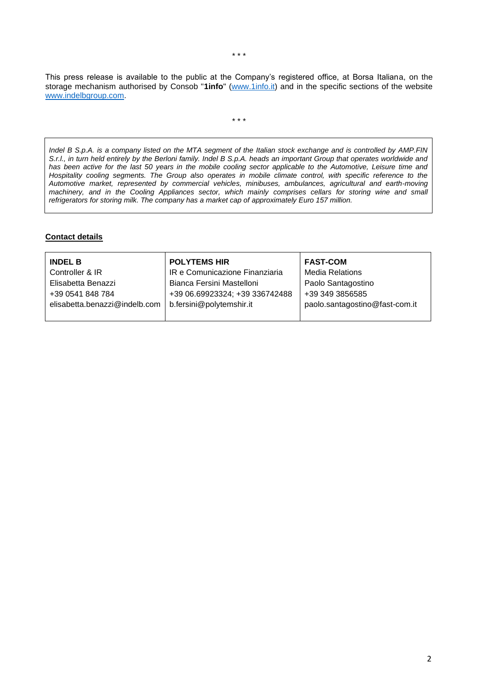This press release is available to the public at the Company's registered office, at Borsa Italiana, on the storage mechanism authorised by Consob "**1info**" [\(www.1info.it\)](file:///C:/Users/ddelietovollaro/AppData/Local/Microsoft/Windows/INetCache/Content.Outlook/T87B94UR/www.1info.it) and in the specific sections of the website [www.indelbgroup.com.](http://www.indelbgroup.com/)

\* \* \*

*Indel B S.p.A. is a company listed on the MTA segment of the Italian stock exchange and is controlled by AMP.FIN S.r.l., in turn held entirely by the Berloni family. Indel B S.p.A. heads an important Group that operates worldwide and has been active for the last 50 years in the mobile cooling sector applicable to the Automotive, Leisure time and Hospitality cooling segments. The Group also operates in mobile climate control, with specific reference to the Automotive market, represented by commercial vehicles, minibuses, ambulances, agricultural and earth-moving machinery, and in the Cooling Appliances sector, which mainly comprises cellars for storing wine and small refrigerators for storing milk. The company has a market cap of approximately Euro 157 million.*

## **Contact details**

| <b>INDEL B</b>                | <b>POLYTEMS HIR</b>            | <b>FAST-COM</b>                |
|-------------------------------|--------------------------------|--------------------------------|
| Controller & IR               | IR e Comunicazione Finanziaria | <b>Media Relations</b>         |
| Elisabetta Benazzi            | Bianca Fersini Mastelloni      | Paolo Santagostino             |
| +39 0541 848 784              | +39 06.69923324; +39 336742488 | +39 349 3856585                |
| elisabetta.benazzi@indelb.com | b.fersini@polytemshir.it       | paolo.santagostino@fast-com.it |
|                               |                                |                                |